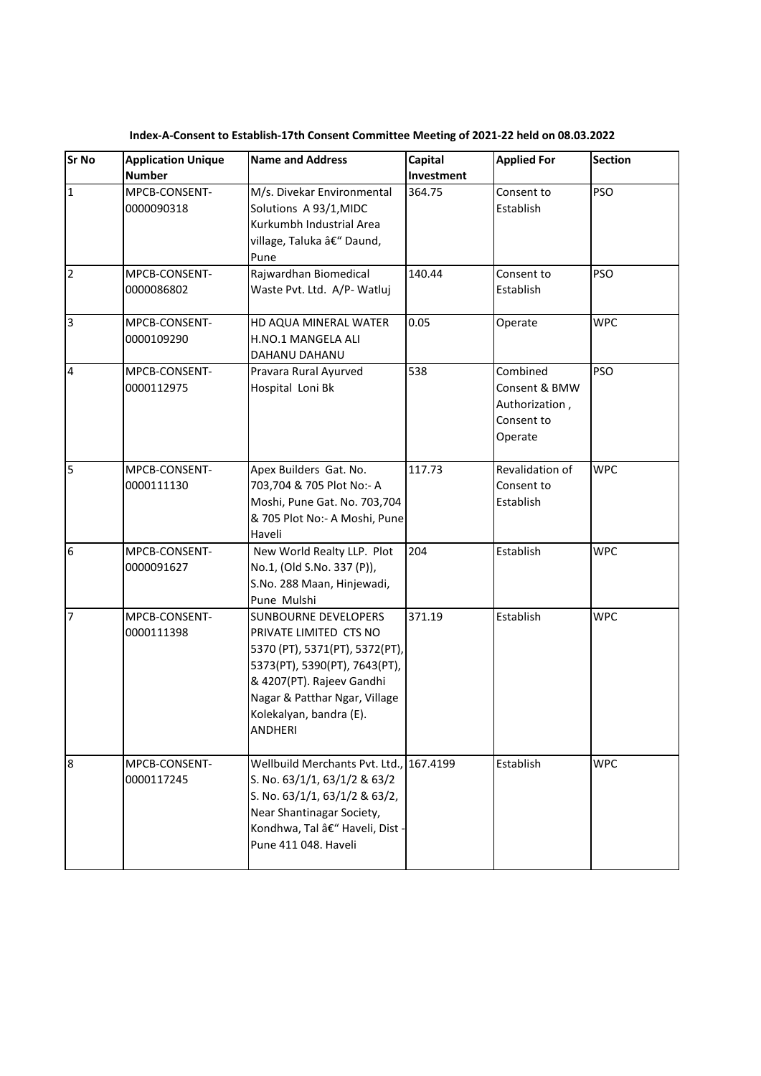| <b>Sr No</b>            | <b>Application Unique</b><br><b>Number</b> | <b>Name and Address</b>                                                                                                                                                                                                      | Capital<br>Investment | <b>Applied For</b>                                                   | <b>Section</b> |
|-------------------------|--------------------------------------------|------------------------------------------------------------------------------------------------------------------------------------------------------------------------------------------------------------------------------|-----------------------|----------------------------------------------------------------------|----------------|
| $\overline{1}$          | MPCB-CONSENT-<br>0000090318                | M/s. Divekar Environmental<br>Solutions A 93/1, MIDC<br>Kurkumbh Industrial Area<br>village, Taluka – Daund,<br>Pune                                                                                                         | 364.75                | Consent to<br>Establish                                              | <b>PSO</b>     |
| $\overline{2}$          | MPCB-CONSENT-<br>0000086802                | Rajwardhan Biomedical<br>Waste Pvt. Ltd. A/P- Watluj                                                                                                                                                                         | 140.44                | Consent to<br>Establish                                              | <b>PSO</b>     |
| $\overline{3}$          | MPCB-CONSENT-<br>0000109290                | HD AQUA MINERAL WATER<br>H.NO.1 MANGELA ALI<br>DAHANU DAHANU                                                                                                                                                                 | 0.05                  | Operate                                                              | <b>WPC</b>     |
| $\overline{\mathbf{4}}$ | MPCB-CONSENT-<br>0000112975                | Pravara Rural Ayurved<br>Hospital Loni Bk                                                                                                                                                                                    | 538                   | Combined<br>Consent & BMW<br>Authorization,<br>Consent to<br>Operate | <b>PSO</b>     |
| 5                       | MPCB-CONSENT-<br>0000111130                | Apex Builders Gat. No.<br>703,704 & 705 Plot No:- A<br>Moshi, Pune Gat. No. 703,704<br>& 705 Plot No:- A Moshi, Pune<br>Haveli                                                                                               | 117.73                | Revalidation of<br>Consent to<br>Establish                           | <b>WPC</b>     |
| $6\phantom{.}6$         | MPCB-CONSENT-<br>0000091627                | New World Realty LLP. Plot<br>No.1, (Old S.No. 337 (P)),<br>S.No. 288 Maan, Hinjewadi,<br>Pune Mulshi                                                                                                                        | 204                   | Establish                                                            | <b>WPC</b>     |
| $\overline{7}$          | MPCB-CONSENT-<br>0000111398                | SUNBOURNE DEVELOPERS<br>PRIVATE LIMITED CTS NO<br>5370 (PT), 5371(PT), 5372(PT),<br>5373(PT), 5390(PT), 7643(PT),<br>& 4207(PT). Rajeev Gandhi<br>Nagar & Patthar Ngar, Village<br>Kolekalyan, bandra (E).<br><b>ANDHERI</b> | 371.19                | Establish                                                            | <b>WPC</b>     |
| 8                       | MPCB-CONSENT-<br>0000117245                | Wellbuild Merchants Pvt. Ltd.,<br>S. No. 63/1/1, 63/1/2 & 63/2<br>S. No. 63/1/1, 63/1/2 & 63/2,<br>Near Shantinagar Society,<br>Kondhwa, Tal – Haveli, Dist -<br>Pune 411 048. Haveli                                        | 167.4199              | Establish                                                            | <b>WPC</b>     |

**Index-A-Consent to Establish-17th Consent Committee Meeting of 2021-22 held on 08.03.2022**